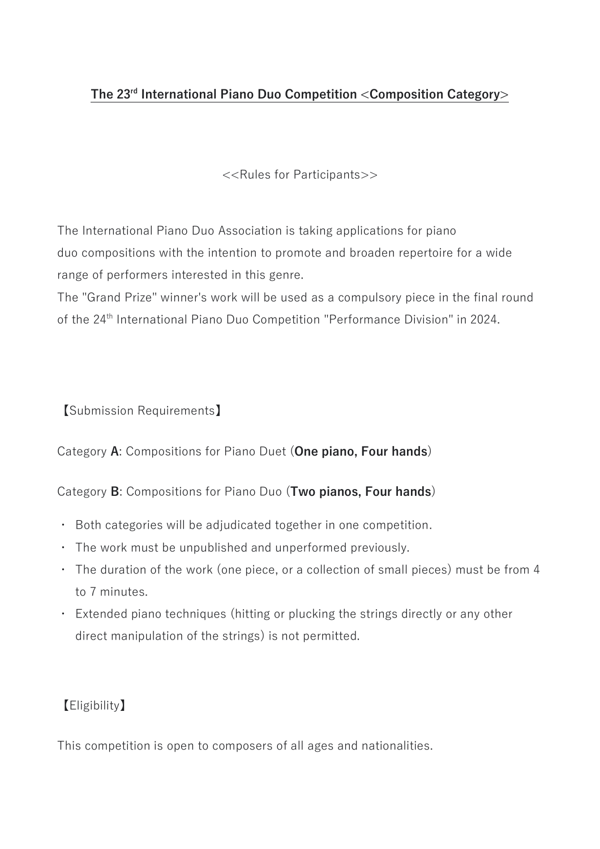### **The 23rd International Piano Duo Competition <Composition Category>**

<<Rules for Participants>>

The International Piano Duo Association is taking applications for piano duo compositions with the intention to promote and broaden repertoire for a wide range of performers interested in this genre.

The "Grand Prize" winner's work will be used as a compulsory piece in the final round of the 24<sup>th</sup> International Piano Duo Competition "Performance Division" in 2024.

【Submission Requirements】

Category **A**: Compositions for Piano Duet (**One piano, Four hands**)

Category **B**: Compositions for Piano Duo (**Two pianos, Four hands**)

- ・ Both categories will be adjudicated together in one competition.
- ・ The work must be unpublished and unperformed previously.
- ・ The duration of the work (one piece, or a collection of small pieces) must be from 4 to 7 minutes.
- ・ Extended piano techniques (hitting or plucking the strings directly or any other direct manipulation of the strings) is not permitted.

# 【Eligibility】

This competition is open to composers of all ages and nationalities.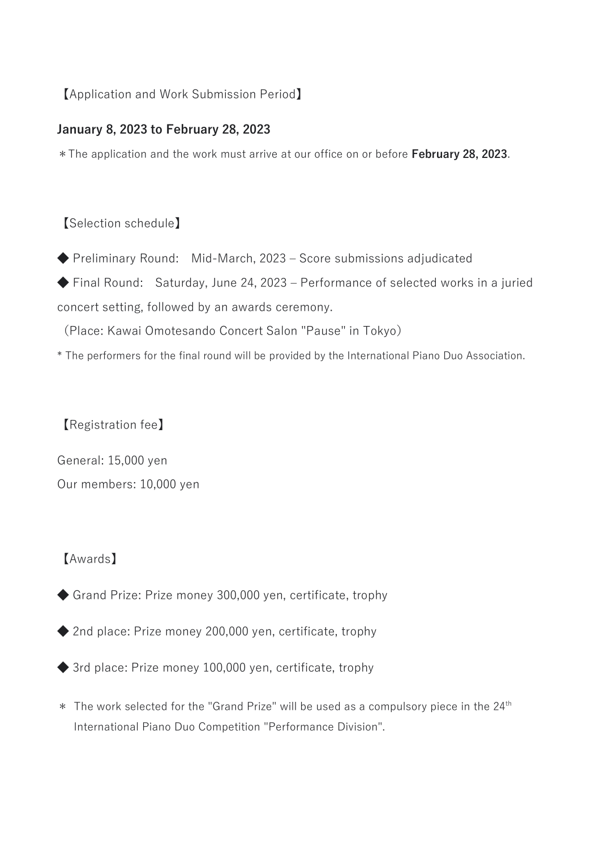### 【Application and Work Submission Period】

#### **January 8, 2023 to February 28, 2023**

\*The application and the work must arrive at our office on or before **February 28, 2023**.

### 【Selection schedule】

◆ Preliminary Round: Mid-March, 2023 – Score submissions adjudicated ◆ Final Round: Saturday, June 24, 2023 – Performance of selected works in a juried concert setting, followed by an awards ceremony.

(Place: Kawai Omotesando Concert Salon "Pause" in Tokyo)

\* The performers for the final round will be provided by the International Piano Duo Association.

【Registration fee】

General: 15,000 yen Our members: 10,000 yen

### 【Awards】

- ◆ Grand Prize: Prize money 300,000 yen, certificate, trophy
- ◆ 2nd place: Prize money 200,000 yen, certificate, trophy
- ◆ 3rd place: Prize money 100,000 yen, certificate, trophy
- \* The work selected for the "Grand Prize" will be used as a compulsory piece in the 24<sup>th</sup> International Piano Duo Competition "Performance Division".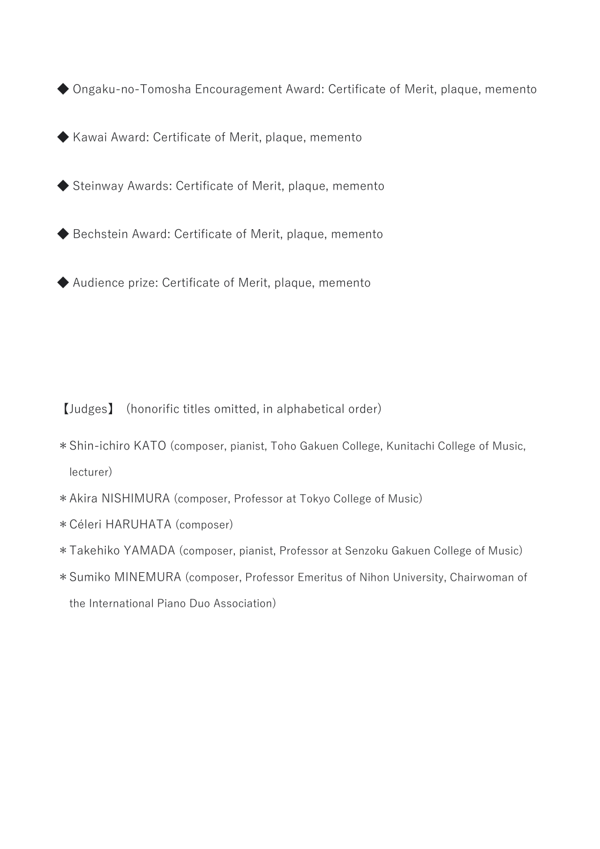◆ Ongaku-no-Tomosha Encouragement Award: Certificate of Merit, plaque, memento

◆ Kawai Award: Certificate of Merit, plaque, memento

◆ Steinway Awards: Certificate of Merit, plaque, memento

◆ Bechstein Award: Certificate of Merit, plaque, memento

◆ Audience prize: Certificate of Merit, plaque, memento

【Judges】 (honorific titles omitted, in alphabetical order)

- \*Shin-ichiro KATO (composer, pianist, Toho Gakuen College, Kunitachi College of Music, lecturer)
- \*Akira NISHIMURA (composer, Professor at Tokyo College of Music)
- \*Céleri HARUHATA (composer)
- \*Takehiko YAMADA (composer, pianist, Professor at Senzoku Gakuen College of Music)
- \*Sumiko MINEMURA (composer, Professor Emeritus of Nihon University, Chairwoman of the International Piano Duo Association)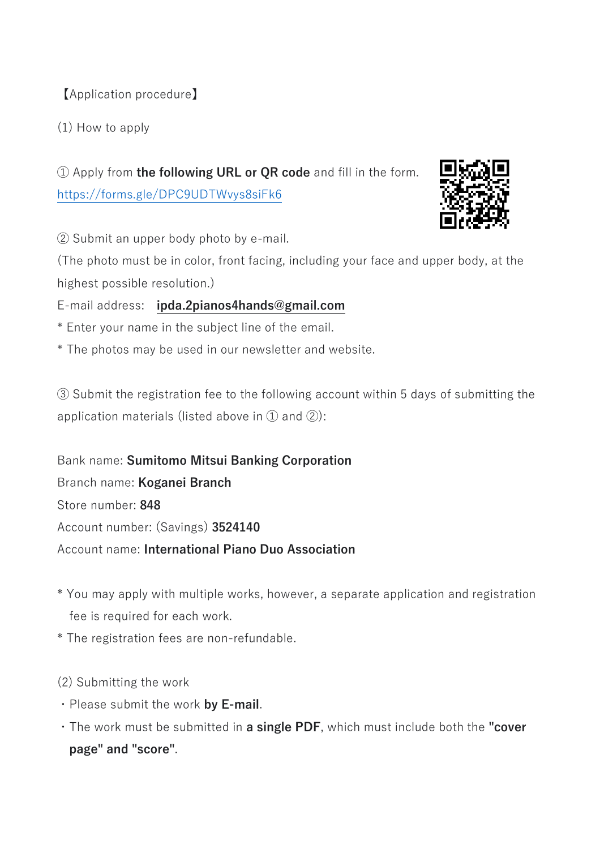【Application procedure】

(1) How to apply

① Apply from **the following URL or QR code** and fill in the form. <https://forms.gle/DPC9UDTWvys8siFk6>



② Submit an upper body photo by e-mail.

(The photo must be in color, front facing, including your face and upper body, at the highest possible resolution.)

E-mail address: **ipda.2pianos4hands@gmail.com**

- \* Enter your name in the subject line of the email.
- \* The photos may be used in our newsletter and website.

③ Submit the registration fee to the following account within 5 days of submitting the application materials (listed above in  $(1)$  and  $(2)$ ):

Bank name: **Sumitomo Mitsui Banking Corporation** Branch name: **Koganei Branch** Store number: **848** Account number: (Savings) **3524140** Account name: **International Piano Duo Association**

- \* You may apply with multiple works, however, a separate application and registration fee is required for each work.
- \* The registration fees are non-refundable.
- (2) Submitting the work
- ・Please submit the work **by E-mail**.
- ・The work must be submitted in **a single PDF**, which must include both the **"cover page" and "score"**.